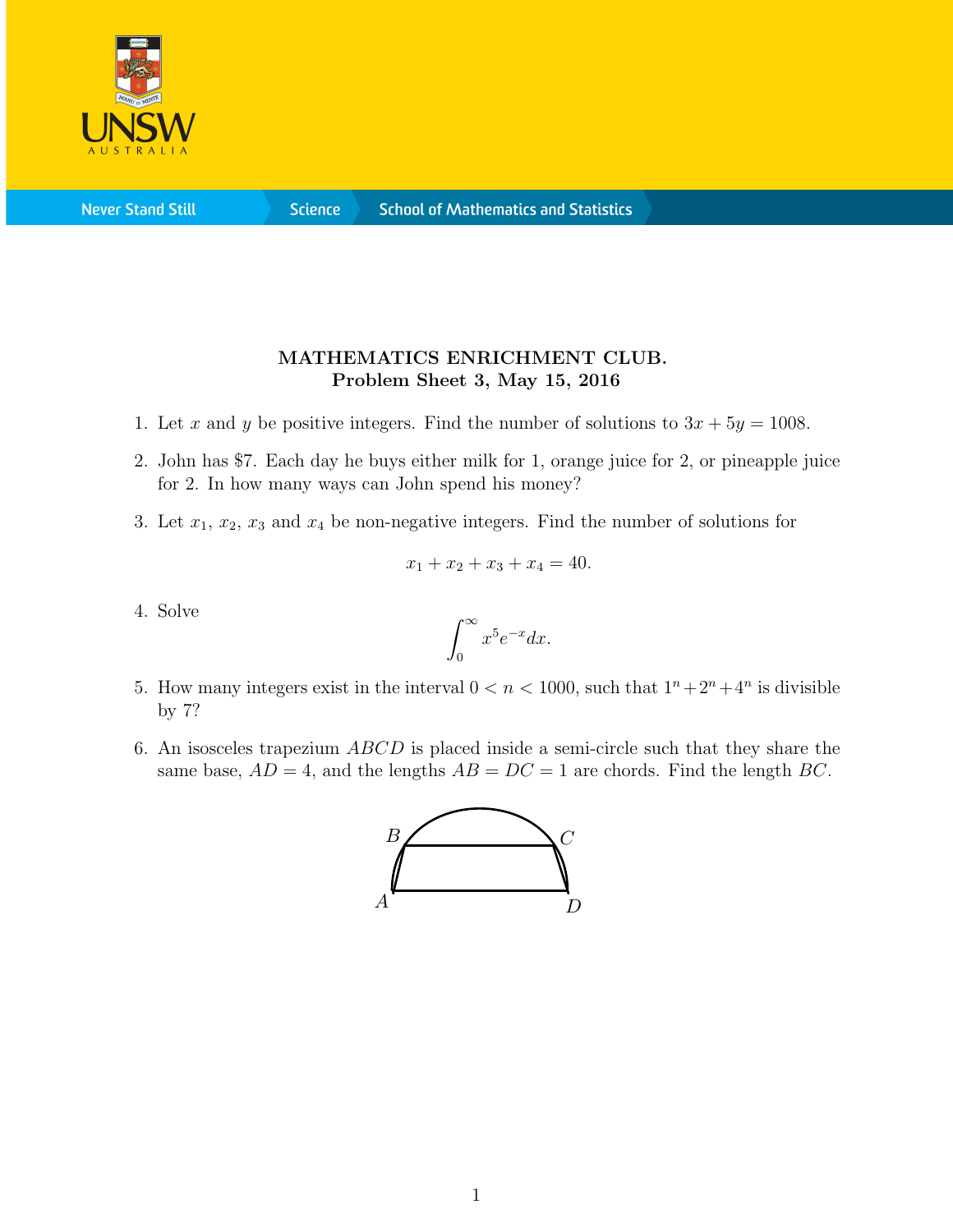

**Never Stand Still** 

**Science** 

## MATHEMATICS ENRICHMENT CLUB. Problem Sheet 3, May 15, 2016

- 1. Let x and y be positive integers. Find the number of solutions to  $3x + 5y = 1008$ .
- 2. John has \$7. Each day he buys either milk for 1, orange juice for 2, or pineapple juice for 2. In how many ways can John spend his money?
- 3. Let  $x_1, x_2, x_3$  and  $x_4$  be non-negative integers. Find the number of solutions for

$$
x_1 + x_2 + x_3 + x_4 = 40.
$$

4. Solve

$$
\int_0^\infty x^5 e^{-x} dx.
$$

- 5. How many integers exist in the interval  $0 < n < 1000$ , such that  $1^n + 2^n + 4^n$  is divisible by 7?
- 6. An isosceles trapezium ABCD is placed inside a semi-circle such that they share the same base,  $AD = 4$ , and the lengths  $AB = DC = 1$  are chords. Find the length BC.